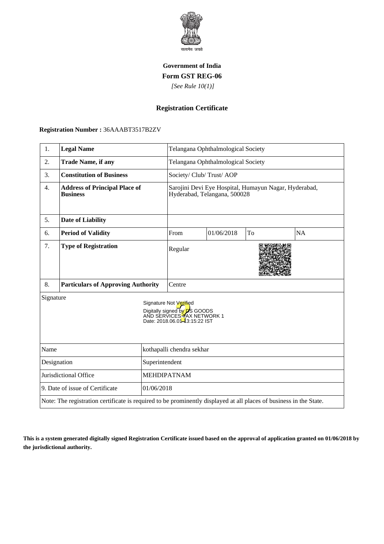

## **Government of India Form GST REG-06**

 *[See Rule 10(1)]*

## **Registration Certificate**

 **Registration Number :** 36AAABT3517B2ZV

| 1.                                                                                                                 | <b>Legal Name</b>                                       |                           | Telangana Ophthalmological Society                                                                                           |            |    |           |
|--------------------------------------------------------------------------------------------------------------------|---------------------------------------------------------|---------------------------|------------------------------------------------------------------------------------------------------------------------------|------------|----|-----------|
| 2.                                                                                                                 | <b>Trade Name, if any</b>                               |                           | Telangana Ophthalmological Society                                                                                           |            |    |           |
| 3.                                                                                                                 | <b>Constitution of Business</b>                         |                           | Society/ Club/ Trust/ AOP                                                                                                    |            |    |           |
| 4.                                                                                                                 | <b>Address of Principal Place of</b><br><b>Business</b> |                           | Sarojini Devi Eye Hospital, Humayun Nagar, Hyderabad,<br>Hyderabad, Telangana, 500028                                        |            |    |           |
| 5.                                                                                                                 | <b>Date of Liability</b>                                |                           |                                                                                                                              |            |    |           |
| 6.                                                                                                                 | <b>Period of Validity</b>                               |                           | From                                                                                                                         | 01/06/2018 | To | <b>NA</b> |
| 7.                                                                                                                 | <b>Type of Registration</b>                             |                           | Regular                                                                                                                      |            |    |           |
| 8.                                                                                                                 | <b>Particulars of Approving Authority</b>               |                           | Centre                                                                                                                       |            |    |           |
| Signature                                                                                                          |                                                         |                           | Signature Not Verified<br>Digitally signed by <b>D</b> S GOODS<br>AND SERVICES TAX NETWORK 1<br>Date: 2018.06.01-3:15:22 IST |            |    |           |
| Name                                                                                                               |                                                         | kothapalli chendra sekhar |                                                                                                                              |            |    |           |
| Designation<br>Superintendent                                                                                      |                                                         |                           |                                                                                                                              |            |    |           |
| Jurisdictional Office                                                                                              |                                                         | <b>MEHDIPATNAM</b>        |                                                                                                                              |            |    |           |
| 9. Date of issue of Certificate<br>01/06/2018                                                                      |                                                         |                           |                                                                                                                              |            |    |           |
| Note: The registration certificate is required to be prominently displayed at all places of business in the State. |                                                         |                           |                                                                                                                              |            |    |           |

**This is a system generated digitally signed Registration Certificate issued based on the approval of application granted on 01/06/2018 by the jurisdictional authority.**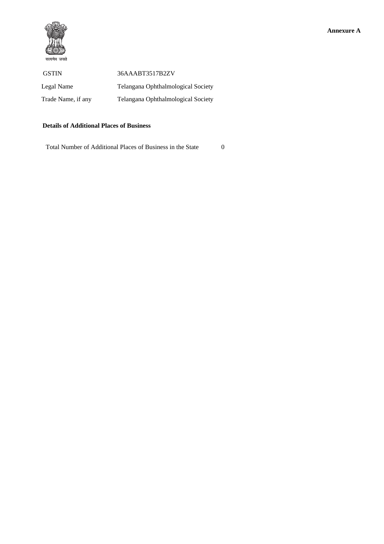

| <b>GSTIN</b>       | 36AAABT3517B2ZV                    |
|--------------------|------------------------------------|
| Legal Name         | Telangana Ophthalmological Society |
| Trade Name, if any | Telangana Ophthalmological Society |

## **Details of Additional Places of Business**

Total Number of Additional Places of Business in the State 0